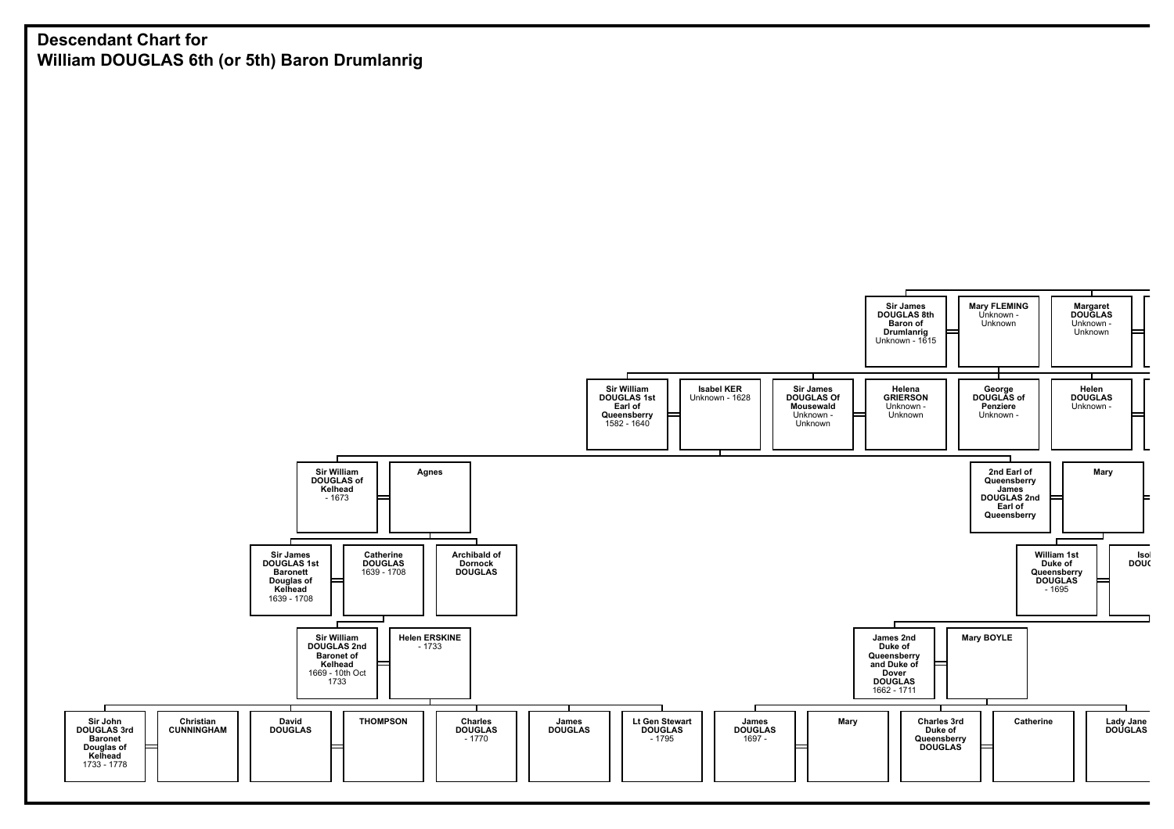## **Descendant Chart for William DOUGLAS 6th (or 5th) Baron Drumlanrig**

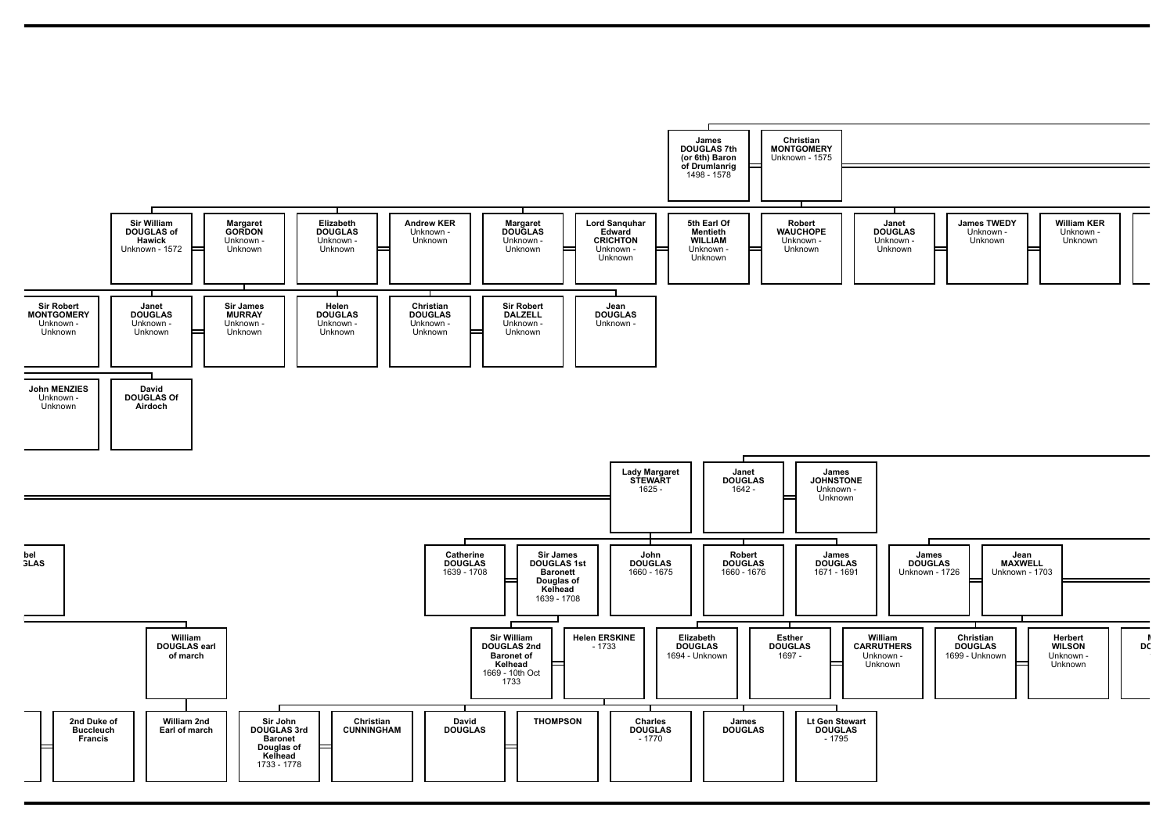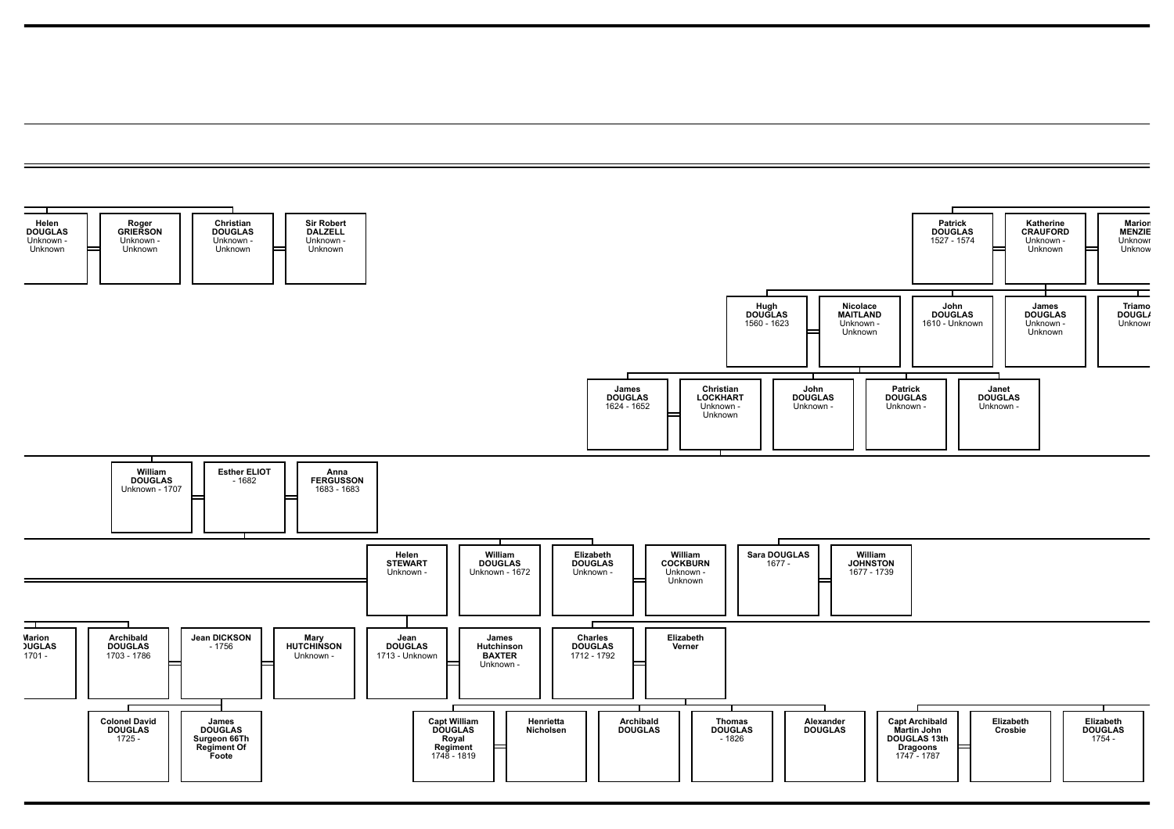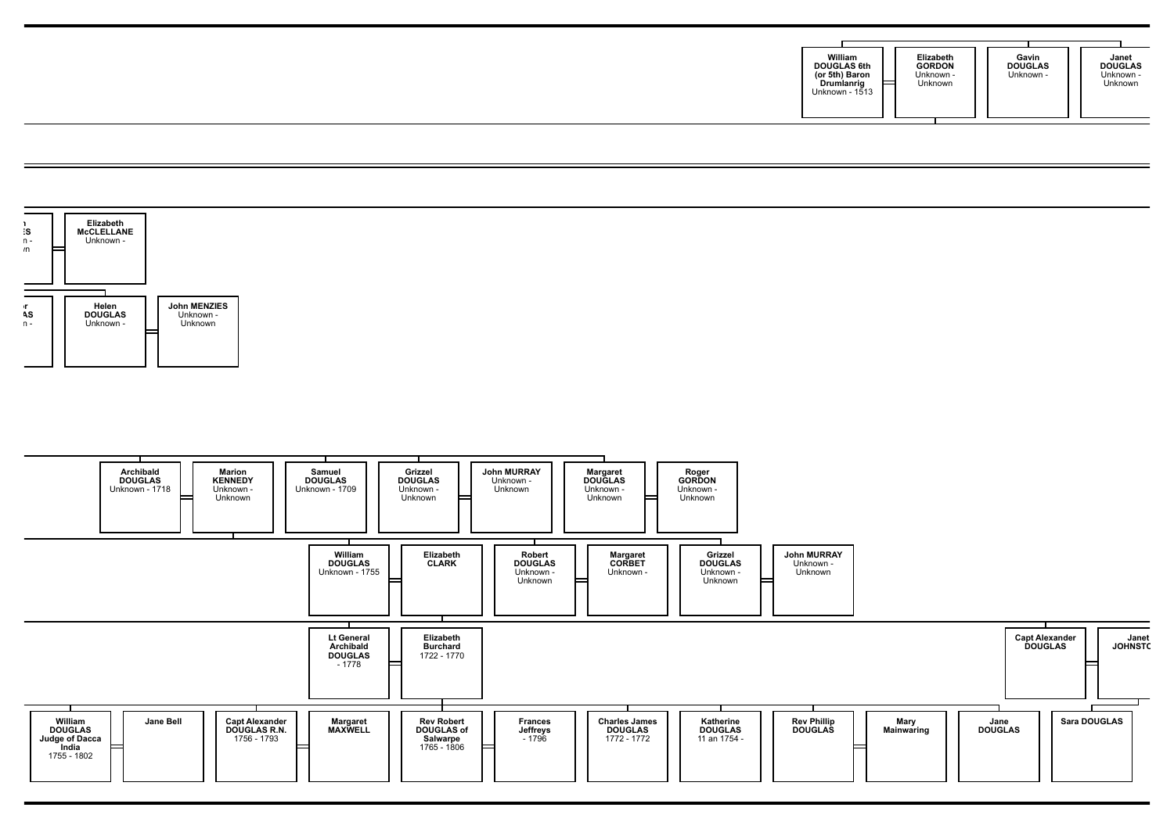| William<br>Elizabeth<br>Gavin<br><b>GORDON</b><br><b>DOUGLAS</b><br><b>DOUGLAS 6th</b><br>Unknown -<br>Unknown -<br>(or 5th) Baron<br>Unknown<br>ᄇ<br>Drumlanrig<br>Unknown - 1513 | Janet<br><b>DOUGLAS</b><br>Unknown -<br>Unknown |
|------------------------------------------------------------------------------------------------------------------------------------------------------------------------------------|-------------------------------------------------|
|------------------------------------------------------------------------------------------------------------------------------------------------------------------------------------|-------------------------------------------------|

 $=$ 

 $\equiv$ 



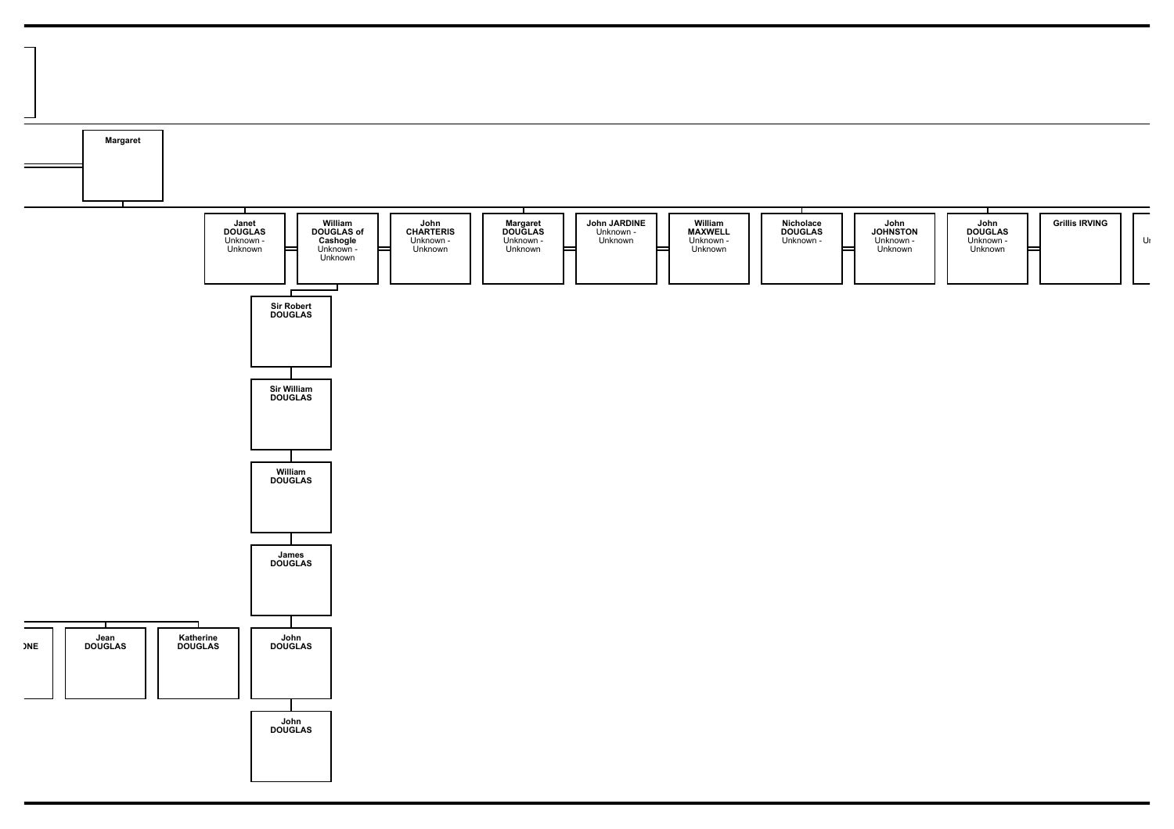